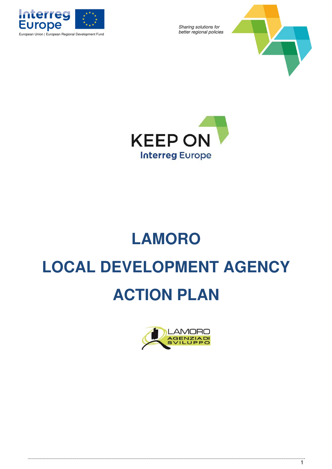





# **LAMORO LOCAL DEVELOPMENT AGENCY ACTION PLAN**

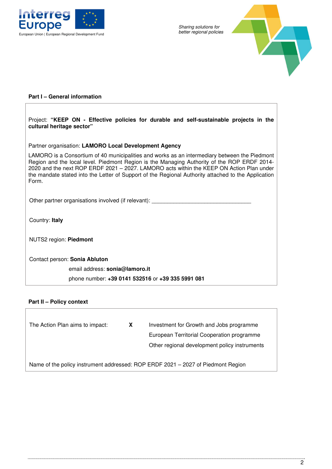



## **Part I – General information**

| Project: "KEEP ON - Effective policies for durable and self-sustainable projects in the<br>cultural heritage sector"                                                                                                                                                                                                                                                                                     |
|----------------------------------------------------------------------------------------------------------------------------------------------------------------------------------------------------------------------------------------------------------------------------------------------------------------------------------------------------------------------------------------------------------|
| Partner organisation: LAMORO Local Development Agency                                                                                                                                                                                                                                                                                                                                                    |
| LAMORO is a Consortium of 40 municipalities and works as an intermediary between the Piedmont<br>Region and the local level. Piedmont Region is the Managing Authority of the ROP ERDF 2014-<br>2020 and the next ROP ERDF 2021 - 2027. LAMORO acts within the KEEP ON Action Plan under<br>the mandate stated into the Letter of Support of the Regional Authority attached to the Application<br>Form. |
| Other partner organisations involved (if relevant):                                                                                                                                                                                                                                                                                                                                                      |
| Country: Italy                                                                                                                                                                                                                                                                                                                                                                                           |
| NUTS2 region: Piedmont                                                                                                                                                                                                                                                                                                                                                                                   |
| Contact person: Sonia Abluton                                                                                                                                                                                                                                                                                                                                                                            |
| email address: sonia@lamoro.it                                                                                                                                                                                                                                                                                                                                                                           |
| phone number: +39 0141 532516 or +39 335 5991 081                                                                                                                                                                                                                                                                                                                                                        |

## **Part II – Policy context**

- The Action Plan aims to impact: **X** Investment for Growth and Jobs programme
	- € European Territorial Cooperation programme
	- € Other regional development policy instruments

Name of the policy instrument addressed: ROP ERDF 2021 – 2027 of Piedmont Region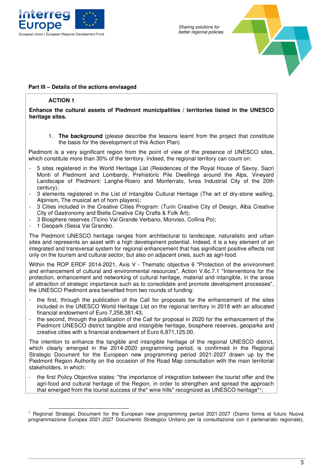



## **Part III – Details of the actions envisaged**

## **ACTION 1**

#### **Enhance the cultural assets of Piedmont municipalities / territories listed in the UNESCO heritage sites.**

1. **The background** (please describe the lessons learnt from the project that constitute the basis for the development of this Action Plan)

Piedmont is a very significant region from the point of view of the presence of UNESCO sites, which constitute more than 30% of the territory. Indeed, the regional territory can count on:

- 5 sites registered in the World Heritage List (Residences of the Royal House of Savoy, Sacri Monti of Piedmont and Lombardy, Prehistoric Pile Dwellings around the Alps, Vineyard Landscape of Piedmont: Langhe-Roero and Monferrato, Ivrea Industrial City of the 20th century);
- 3 elements registered in the List of Intangible Cultural Heritage (The art of dry-stone walling, Alpinism, The musical art of horn players);
- 3 Cities included in the Creative Cities Program: (Turin Creative City of Design, Alba Creative City of Gastronomy and Biella Creative City Crafts & Folk Art);
- 3 Biosphere reserves (Ticino Val Grande Verbano, Monviso, Collina Po);
- 1 Geopark (Sesia Val Grande).

The Piedmont UNESCO heritage ranges from architectural to landscape, naturalistic and urban sites and represents an asset with a high development potential. Indeed, it is a key element of an integrated and transversal system for regional enhancement that has significant positive effects not only on the tourism and cultural sector, but also on adjacent ones, such as agri-food.

Within the ROP ERDF 2014-2021, Axis V - Thematic objective 6 "Protection of the environment and enhancement of cultural and environmental resources", Action V.6c.7.1 "Interventions for the protection, enhancement and networking of cultural heritage, material and intangible, in the areas of attraction of strategic importance such as to consolidate and promote development processes", the UNESCO Piedmont area benefited from two rounds of funding:

- the first, through the publication of the Call for proposals for the enhancement of the sites included in the UNESCO World Heritage List on the regional territory in 2018 with an allocated financial endowment of Euro 7,258,381.43;
- the second, through the publication of the Call for proposal in 2020 for the enhancement of the Piedmont UNESCO district tangible and intangible heritage, biosphere reserves, geoparks and creative cities with a financial endowment of Euro 6,871,125.00.

The intention to enhance the tangible and intangible heritage of the regional UNESCO district, which clearly emerged in the 2014-2020 programming period, is confirmed in the Regional Strategic Document for the European new programming period 2021-2027 drawn up by the Piedmont Region Authority on the occasion of the Road Map consultation with the main territorial stakeholders, in which:

the first Policy Objective states: "the importance of integration between the tourist offer and the agri-food and cultural heritage of the Region, in order to strengthen and spread the approach that emerged from the tourist success of the" wine hills" recognized as UNESCO heritage"<sup>1</sup> ;

<sup>1</sup> Regional Strategic Document for the European new programming period 2021-2027 (Diamo forma al futuro Nuova programmazione Europea 2021-2027 Documento Strategico Unitario per la consultazione con il partenariato regionale),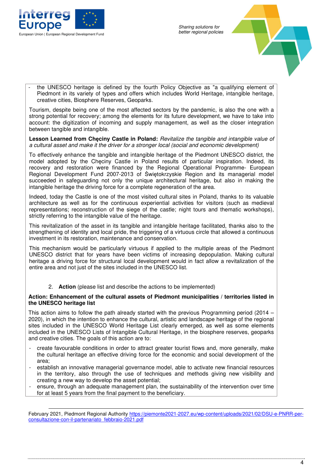



- the UNESCO heritage is defined by the fourth Policy Objective as "a qualifying element of Piedmont in its variety of types and offers which includes World Heritage, intangible heritage, creative cities, Biosphere Reserves, Geoparks.

Tourism, despite being one of the most affected sectors by the pandemic, is also the one with a strong potential for recovery; among the elements for its future development, we have to take into account: the digitization of incoming and supply management, as well as the closer integration between tangible and intangible.

**Lesson Learned from Chęciny Castle in Poland:** Revitalize the tangible and intangible value of a cultural asset and make it the driver for a stronger local (social and economic development)

To effectively enhance the tangible and intangible heritage of the Piedmont UNESCO district, the model adopted by the Chęciny Castle in Poland results of particular inspiration. Indeed, its recovery and restoration were financed by the Regional Operational Programme- European Regional Development Fund 2007-2013 of Świętokrzyskie Region and its managerial model succeeded in safeguarding not only the unique architectural heritage, but also in making the intangible heritage the driving force for a complete regeneration of the area.

Indeed, today the Castle is one of the most visited cultural sites in Poland, thanks to its valuable architecture as well as for the continuous experiential activities for visitors (such as medieval representations; reconstruction of the siege of the castle; night tours and thematic workshops), strictly referring to the intangible value of the heritage.

This revitalization of the asset in its tangible and intangible heritage facilitated, thanks also to the strengthening of identity and local pride, the triggering of a virtuous circle that allowed a continuous investment in its restoration, maintenance and conservation.

This mechanism would be particularly virtuous if applied to the multiple areas of the Piedmont UNESCO district that for years have been victims of increasing depopulation. Making cultural heritage a driving force for structural local development would in fact allow a revitalization of the entire area and not just of the sites included in the UNESCO list.

2. **Action** (please list and describe the actions to be implemented)

#### **Action: Enhancement of the cultural assets of Piedmont municipalities / territories listed in the UNESCO heritage list**

This action aims to follow the path already started with the previous Programming period (2014 – 2020), in which the intention to enhance the cultural, artistic and landscape heritage of the regional sites included in the UNESCO World Heritage List clearly emerged, as well as some elements included in the UNESCO Lists of Intangible Cultural Heritage, in the biosphere reserves, geoparks and creative cities. The goals of this action are to:

- create favourable conditions in order to attract greater tourist flows and, more generally, make the cultural heritage an effective driving force for the economic and social development of the area;
- establish an innovative managerial governance model, able to activate new financial resources in the territory, also through the use of techniques and methods giving new visibility and creating a new way to develop the asset potential;
- ensure, through an adequate management plan, the sustainability of the intervention over time for at least 5 years from the final payment to the beneficiary.

February 2021, Piedmont Regional Authority https://piemonte2021-2027.eu/wp-content/uploads/2021/02/DSU-e-PNRR-perconsultazione-con-il-partenariato\_febbraio-2021.pdf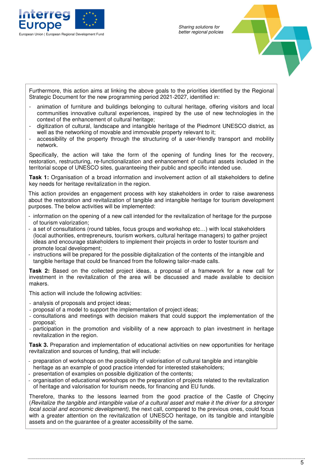



Furthermore, this action aims at linking the above goals to the priorities identified by the Regional Strategic Document for the new programming period 2021-2027, identified in:

- animation of furniture and buildings belonging to cultural heritage, offering visitors and local communities innovative cultural experiences, inspired by the use of new technologies in the context of the enhancement of cultural heritage;
- digitization of cultural, landscape and intangible heritage of the Piedmont UNESCO district, as well as the networking of movable and immovable property relevant to it;
- accessibility of the property through the structuring of a user-friendly transport and mobility network.

Specifically, the action will take the form of the opening of funding lines for the recovery, restoration, restructuring, re-functionalization and enhancement of cultural assets included in the territorial scope of UNESCO sites, guaranteeing their public and specific intended use.

**Task 1:** Organisation of a broad information and involvement action of all stakeholders to define key needs for heritage revitalization in the region.

This action provides an engagement process with key stakeholders in order to raise awareness about the restoration and revitalization of tangible and intangible heritage for tourism development purposes. The below activities will be implemented:

- information on the opening of a new call intended for the revitalization of heritage for the purpose of tourism valorization;
- a set of consultations (round tables, focus groups and workshop etc…) with local stakeholders (local authorities, entrepreneurs, tourism workers, cultural heritage managers) to gather project ideas and encourage stakeholders to implement their projects in order to foster tourism and promote local development;
- instructions will be prepared for the possible digitalization of the contents of the intangible and tangible heritage that could be financed from the following tailor-made calls.

**Task 2:** Based on the collected project ideas, a proposal of a framework for a new call for investment in the revitalization of the area will be discussed and made available to decision makers.

This action will include the following activities:

- analysis of proposals and project ideas;
- proposal of a model to support the implementation of project ideas;
- consultations and meetings with decision makers that could support the implementation of the proposal;
- participation in the promotion and visibility of a new approach to plan investment in heritage revitalization in the region.

**Task 3.** Preparation and implementation of educational activities on new opportunities for heritage revitalization and sources of funding, that will include:

- preparation of workshops on the possibility of valorisation of cultural tangible and intangible heritage as an example of good practice intended for interested stakeholders;
- presentation of examples on possible digitization of the contents;
- organisation of educational workshops on the preparation of projects related to the revitalization of heritage and valorisation for tourism needs, for financing and EU funds.

Therefore, thanks to the lessons learned from the good practice of the Castle of Chęciny (Revitalize the tangible and intangible value of a cultural asset and make it the driver for a stronger local social and economic development), the next call, compared to the previous ones, could focus with a greater attention on the revitalization of UNESCO heritage, on its tangible and intangible assets and on the guarantee of a greater accessibility of the same.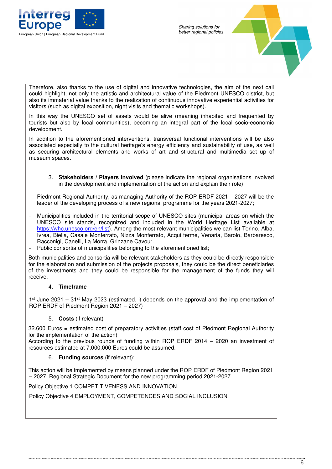



Therefore, also thanks to the use of digital and innovative technologies, the aim of the next call could highlight, not only the artistic and architectural value of the Piedmont UNESCO district, but also its immaterial value thanks to the realization of continuous innovative experiential activities for visitors (such as digital exposition, night visits and thematic workshops).

In this way the UNESCO set of assets would be alive (meaning inhabited and frequented by tourists but also by local communities), becoming an integral part of the local socio-economic development.

In addition to the aforementioned interventions, transversal functional interventions will be also associated especially to the cultural heritage's energy efficiency and sustainability of use, as well as securing architectural elements and works of art and structural and multimedia set up of museum spaces.

- 3. **Stakeholders / Players involved** (please indicate the regional organisations involved in the development and implementation of the action and explain their role)
- Piedmont Regional Authority, as managing Authority of the ROP ERDF 2021 2027 will be the leader of the developing process of a new regional programme for the years 2021-2027;
- Municipalities included in the territorial scope of UNESCO sites (municipal areas on which the UNESCO site stands, recognized and included in the World Heritage List available at https://whc.unesco.org/en/list). Among the most relevant municipalities we can list Torino, Alba, Ivrea, Biella, Casale Monferrato, Nizza Monferrato, Acqui terme, Venaria, Barolo, Barbaresco, Racconigi, Canelli, La Morra, Grinzane Cavour.
- Public consortia of municipalities belonging to the aforementioned list;

Both municipalities and consortia will be relevant stakeholders as they could be directly responsible for the elaboration and submission of the projects proposals, they could be the direct beneficiaries of the investments and they could be responsible for the management of the funds they will receive.

#### 4. **Timeframe**

1<sup>st</sup> June 2021 – 31<sup>st</sup> May 2023 (estimated, it depends on the approval and the implementation of ROP ERDF of Piedmont Region 2021 – 2027)

#### 5. **Costs** (if relevant)

32.600 Euros = estimated cost of preparatory activities (staff cost of Piedmont Regional Authority for the implementation of the action)

According to the previous rounds of funding within ROP ERDF 2014 – 2020 an investment of resources estimated at 7,000,000 Euros could be assumed.

## 6. **Funding sources** (if relevant):

This action will be implemented by means planned under the ROP ERDF of Piedmont Region 2021 – 2027, Regional Strategic Document for the new programming period 2021-2027

Policy Objective 1 COMPETITIVENESS AND INNOVATION

Policy Objective 4 EMPLOYMENT, COMPETENCES AND SOCIAL INCLUSION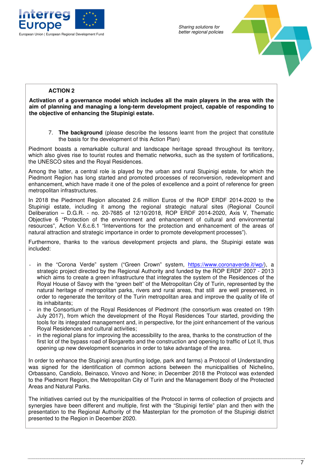



## **ACTION 2**

**Activation of a governance model which includes all the main players in the area with the aim of planning and managing a long-term development project, capable of responding to the objective of enhancing the Stupinigi estate.** 

7. **The background** (please describe the lessons learnt from the project that constitute the basis for the development of this Action Plan)

Piedmont boasts a remarkable cultural and landscape heritage spread throughout its territory, which also gives rise to tourist routes and thematic networks, such as the system of fortifications, the UNESCO sites and the Royal Residences.

Among the latter, a central role is played by the urban and rural Stupinigi estate, for which the Piedmont Region has long started and promoted processes of reconversion, redevelopment and enhancement, which have made it one of the poles of excellence and a point of reference for green metropolitan infrastructures.

In 2018 the Piedmont Region allocated 2.6 million Euros of the ROP ERDF 2014-2020 to the Stupinigi estate, including it among the regional strategic natural sites (Regional Council Deliberation – D.G.R. - no. 20-7685 of 12/10/2018, ROP ERDF 2014-2020, Axis V, Thematic Objective 6 "Protection of the environment and enhancement of cultural and environmental resources", Action V.6.c.6.1 "Interventions for the protection and enhancement of the areas of natural attraction and strategic importance in order to promote development processes").

Furthermore, thanks to the various development projects and plans, the Stupinigi estate was included:

- in the "Corona Verde" system ("Green Crown" system, https://www.coronaverde.it/wp/), a strategic project directed by the Regional Authority and funded by the ROP ERDF 2007 - 2013 which aims to create a green infrastructure that integrates the system of the Residences of the Royal House of Savoy with the "green belt" of the Metropolitan City of Turin, represented by the natural heritage of metropolitan parks, rivers and rural areas, that still are well preserved, in order to regenerate the territory of the Turin metropolitan area and improve the quality of life of its inhabitants;
- in the Consortium of the Royal Residences of Piedmont (the consortium was created on 19th July 2017), from which the development of the Royal Residences Tour started, providing the tools for its integrated management and, in perspective, for the joint enhancement of the various Royal Residences and cultural activities;
- in the regional plans for improving the accessibility to the area, thanks to the construction of the first lot of the bypass road of Borgaretto and the construction and opening to traffic of Lot II, thus opening up new development scenarios in order to take advantage of the area.

In order to enhance the Stupinigi area (hunting lodge, park and farms) a Protocol of Understanding was signed for the identification of common actions between the municipalities of Nichelino, Orbassano, Candiolo, Beinasco, Vinovo and None; in December 2018 the Protocol was extended to the Piedmont Region, the Metropolitan City of Turin and the Management Body of the Protected Areas and Natural Parks.

The initiatives carried out by the municipalities of the Protocol in terms of collection of projects and synergies have been different and multiple, first with the "Stupinigi fertile" plan and then with the presentation to the Regional Authority of the Masterplan for the promotion of the Stupinigi district presented to the Region in December 2020.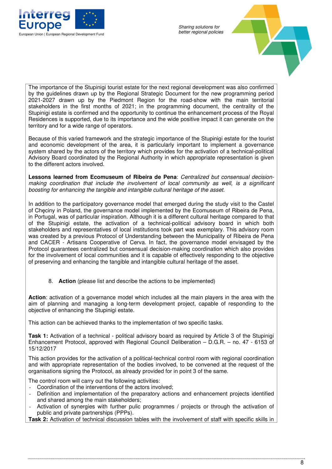



The importance of the Stupinigi tourist estate for the next regional development was also confirmed by the guidelines drawn up by the Regional Strategic Document for the new programming period 2021-2027 drawn up by the Piedmont Region for the road-show with the main territorial stakeholders in the first months of 2021; in the programming document, the centrality of the Stupinigi estate is confirmed and the opportunity to continue the enhancement process of the Royal Residences is supported, due to its importance and the wide positive impact it can generate on the territory and for a wide range of operators.

Because of this varied framework and the strategic importance of the Stupinigi estate for the tourist and economic development of the area, it is particularly important to implement a governance system shared by the actors of the territory which provides for the activation of a technical-political Advisory Board coordinated by the Regional Authority in which appropriate representation is given to the different actors involved.

**Lessons learned from Ecomuseum of Ribeira de Pena**: Centralized but consensual decisionmaking coordination that include the involvement of local community as well, is a significant boosting for enhancing the tangible and intangible cultural heritage of the asset.

In addition to the participatory governance model that emerged during the study visit to the Castel of Checiny in Poland, the governance model implemented by the Ecomuseum of Ribeira de Pena, in Portugal, was of particular inspiration. Although it is a different cultural heritage compared to that of the Stupinigi estate, the activation of a technical-political advisory board in which both stakeholders and representatives of local institutions took part was exemplary. This advisory room was created by a previous Protocol of Understanding between the Municipality of Ribeira de Pena and CACER - Artisans Cooperative of Cerva. In fact, the governance model envisaged by the Protocol guarantees centralized but consensual decision-making coordination which also provides for the involvement of local communities and it is capable of effectively responding to the objective of preserving and enhancing the tangible and intangible cultural heritage of the asset.

8. **Action** (please list and describe the actions to be implemented)

**Action**: activation of a governance model which includes all the main players in the area with the aim of planning and managing a long-term development project, capable of responding to the objective of enhancing the Stupinigi estate.

This action can be achieved thanks to the implementation of two specific tasks.

**Task 1:** Activation of a technical - political advisory board as required by Article 3 of the Stupinigi Enhancement Protocol, approved with Regional Council Deliberation – D.G.R. – no. 47 - 6153 of 15/12/2017

This action provides for the activation of a political-technical control room with regional coordination and with appropriate representation of the bodies involved, to be convened at the request of the organisations signing the Protocol, as already provided for in point 3 of the same.

The control room will carry out the following activities:

- Coordination of the interventions of the actors involved;
- Definition and implementation of the preparatory actions and enhancement projects identified and shared among the main stakeholders;
- Activation of synergies with further pulic programmes / projects or through the activation of public and private partnerships (PPPs).

**Task 2:** Activation of technical discussion tables with the involvement of staff with specific skills in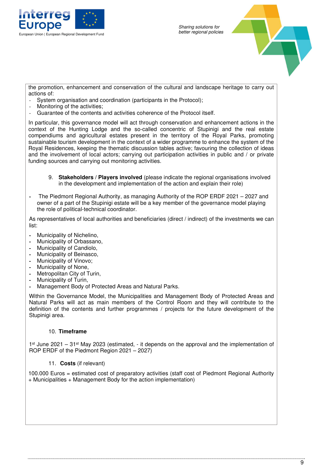



the promotion, enhancement and conservation of the cultural and landscape heritage to carry out actions of:

- System organisation and coordination (participants in the Protocol);
- Monitoring of the activities;
- Guarantee of the contents and activities coherence of the Protocol itself.

In particular, this governance model will act through conservation and enhancement actions in the context of the Hunting Lodge and the so-called concentric of Stupinigi and the real estate compendiums and agricultural estates present in the territory of the Royal Parks, promoting sustainable tourism development in the context of a wider programme to enhance the system of the Royal Residences, keeping the thematic discussion tables active; favouring the collection of ideas and the involvement of local actors; carrying out participation activities in public and / or private funding sources and carrying out monitoring activities.

- 9. **Stakeholders / Players involved** (please indicate the regional organisations involved in the development and implementation of the action and explain their role)
- **-** The Piedmont Regional Authority, as managing Authority of the ROP ERDF 2021 2027 and owner of a part of the Stupinigi estate will be a key member of the governance model playing the role of political-technical coordinator.

As representatives of local authorities and beneficiaries (direct / indirect) of the investments we can list:

- **-** Municipality of Nichelino,
- **-** Municipality of Orbassano,
- **-** Municipality of Candiolo,
- **-** Municipality of Beinasco,
- **-** Municipality of Vinovo;
- **-** Municipality of None,
- **-** Metropolitan City of Turin,
- **-** Municipality of Turin,
- **-** Management Body of Protected Areas and Natural Parks.

Within the Governance Model, the Municipalities and Management Body of Protected Areas and Natural Parks will act as main members of the Control Room and they will contribute to the definition of the contents and further programmes / projects for the future development of the Stupinigi area.

#### 10. **Timeframe**

1<sup>st</sup> June 2021 – 31<sup>st</sup> May 2023 (estimated, - it depends on the approval and the implementation of ROP ERDF of the Piedmont Region 2021 – 2027)

11. **Costs** (if relevant)

100.000 Euros = estimated cost of preparatory activities (staff cost of Piedmont Regional Authority + Municipalities + Management Body for the action implementation)